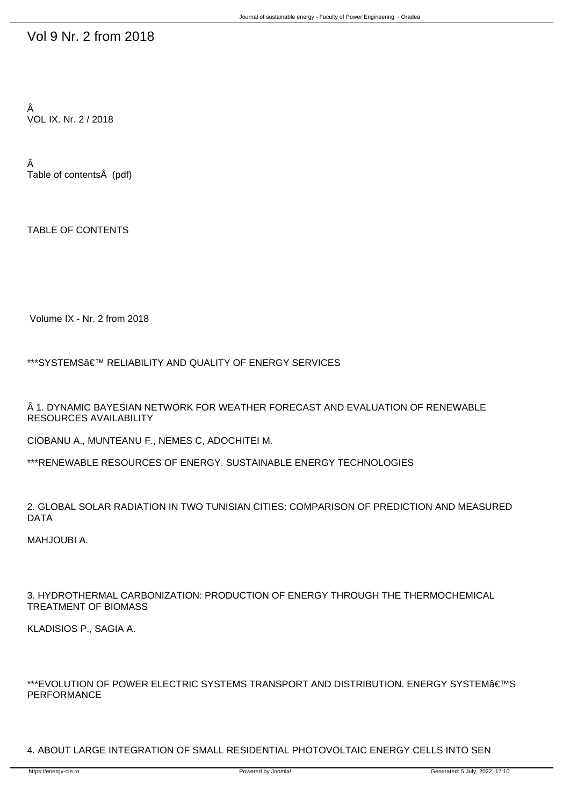## Vol 9 Nr. 2 from 2018

Â VOL IX. Nr. 2 / 2018

Â Table of contents (pdf)

TABLE OF CONTENTS

Volume IX - Nr. 2 from 2018

\*\*\*SYSTEMS' RELIABILITY AND QUALITY OF ENERGY SERVICES

 $\hat{A}$  1. DYNAMIC BAYESIAN NETWORK FOR WEATHER FORECAST AND EVALUATION OF RENEWABLE RESOURCES AVAILABILITY

CIOBANU A., MUNTEANU F., NEMES C, ADOCHITEI M.

\*\*\*RENEWABLE RESOURCES OF ENERGY. SUSTAINABLE ENERGY TECHNOLOGIES

2. GLOBAL SOLAR RADIATION IN TWO TUNISIAN CITIES: COMPARISON OF PREDICTION AND MEASURED DATA

MAHJOUBI A.

3. HYDROTHERMAL CARBONIZATION: PRODUCTION OF ENERGY THROUGH THE THERMOCHEMICAL TREATMENT OF BIOMASS

KLADISIOS P., SAGIA A.

\*\*\*EVOLUTION OF POWER ELECTRIC SYSTEMS TRANSPORT AND DISTRIBUTION. ENERGY SYSTEM€™S PERFORMANCE

4. ABOUT LARGE INTEGRATION OF SMALL RESIDENTIAL PHOTOVOLTAIC ENERGY CELLS INTO SEN